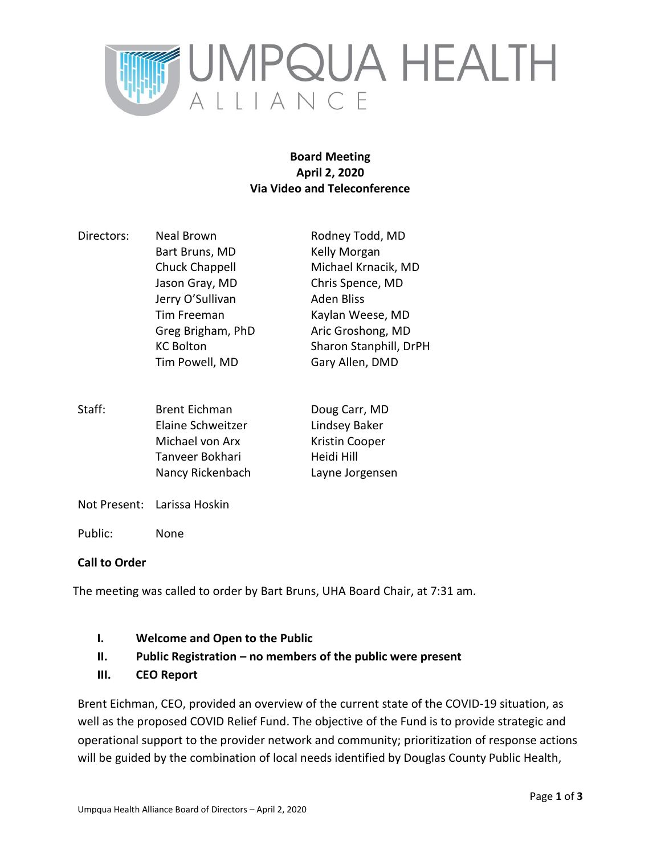

## **Board Meeting April 2, 2020 Via Video and Teleconference**

- Directors: Neal Brown Rodney Todd, MD Bart Bruns, MD Kelly Morgan Chuck Chappell Michael Krnacik, MD Jason Gray, MD Chris Spence, MD Jerry O'Sullivan Aden Bliss Tim Freeman Kaylan Weese, MD Greg Brigham, PhD Aric Groshong, MD KC Bolton Sharon Stanphill, DrPH Tim Powell, MD Gary Allen, DMD
- Staff: Brent Eichman Doug Carr, MD Elaine Schweitzer Lindsey Baker Michael von Arx Kristin Cooper Tanveer Bokhari Heidi Hill Nancy Rickenbach Layne Jorgensen
- Not Present: Larissa Hoskin
- Public: None

## **Call to Order**

The meeting was called to order by Bart Bruns, UHA Board Chair, at 7:31 am.

- **I. Welcome and Open to the Public**
- **II. Public Registration – no members of the public were present**
- **III. CEO Report**

Brent Eichman, CEO, provided an overview of the current state of the COVID-19 situation, as well as the proposed COVID Relief Fund. The objective of the Fund is to provide strategic and operational support to the provider network and community; prioritization of response actions will be guided by the combination of local needs identified by Douglas County Public Health,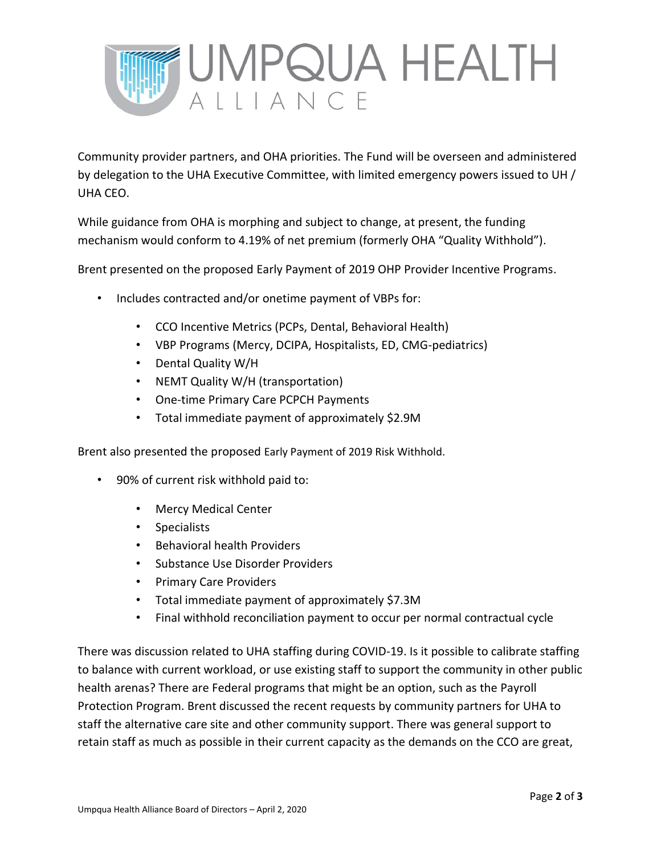

Community provider partners, and OHA priorities. The Fund will be overseen and administered by delegation to the UHA Executive Committee, with limited emergency powers issued to UH / UHA CEO.

While guidance from OHA is morphing and subject to change, at present, the funding mechanism would conform to 4.19% of net premium (formerly OHA "Quality Withhold").

Brent presented on the proposed Early Payment of 2019 OHP Provider Incentive Programs.

- Includes contracted and/or onetime payment of VBPs for:
	- CCO Incentive Metrics (PCPs, Dental, Behavioral Health)
	- VBP Programs (Mercy, DCIPA, Hospitalists, ED, CMG-pediatrics)
	- Dental Quality W/H
	- NEMT Quality W/H (transportation)
	- One-time Primary Care PCPCH Payments
	- Total immediate payment of approximately \$2.9M

Brent also presented the proposed Early Payment of 2019 Risk Withhold.

- 90% of current risk withhold paid to:
	- Mercy Medical Center
	- Specialists
	- Behavioral health Providers
	- Substance Use Disorder Providers
	- Primary Care Providers
	- Total immediate payment of approximately \$7.3M
	- Final withhold reconciliation payment to occur per normal contractual cycle

There was discussion related to UHA staffing during COVID-19. Is it possible to calibrate staffing to balance with current workload, or use existing staff to support the community in other public health arenas? There are Federal programs that might be an option, such as the Payroll Protection Program. Brent discussed the recent requests by community partners for UHA to staff the alternative care site and other community support. There was general support to retain staff as much as possible in their current capacity as the demands on the CCO are great,